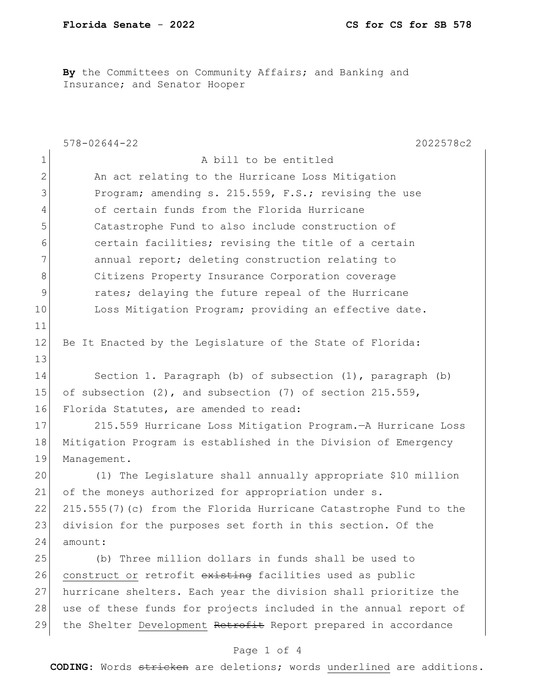**By** the Committees on Community Affairs; and Banking and Insurance; and Senator Hooper

|              | $578 - 02644 - 22$<br>2022578c2                                  |
|--------------|------------------------------------------------------------------|
| $\mathbf 1$  | A bill to be entitled                                            |
| $\mathbf{2}$ | An act relating to the Hurricane Loss Mitigation                 |
| 3            | Program; amending s. 215.559, F.S.; revising the use             |
| 4            | of certain funds from the Florida Hurricane                      |
| 5            | Catastrophe Fund to also include construction of                 |
| 6            | certain facilities; revising the title of a certain              |
| 7            | annual report; deleting construction relating to                 |
| 8            | Citizens Property Insurance Corporation coverage                 |
| 9            | rates; delaying the future repeal of the Hurricane               |
| 10           | Loss Mitigation Program; providing an effective date.            |
| 11           |                                                                  |
| 12           | Be It Enacted by the Legislature of the State of Florida:        |
| 13           |                                                                  |
| 14           | Section 1. Paragraph (b) of subsection (1), paragraph (b)        |
| 15           | of subsection $(2)$ , and subsection $(7)$ of section 215.559,   |
| 16           | Florida Statutes, are amended to read:                           |
| 17           | 215.559 Hurricane Loss Mitigation Program. - A Hurricane Loss    |
| 18           | Mitigation Program is established in the Division of Emergency   |
| 19           | Management.                                                      |
| 20           | (1) The Legislature shall annually appropriate \$10 million      |
| 21           | of the moneys authorized for appropriation under s.              |
| 22           | 215.555(7)(c) from the Florida Hurricane Catastrophe Fund to the |
| 23           | division for the purposes set forth in this section. Of the      |
| 24           | amount:                                                          |
| 25           | (b) Three million dollars in funds shall be used to              |
| 26           | construct or retrofit existing facilities used as public         |
| 27           | hurricane shelters. Each year the division shall prioritize the  |
| 28           | use of these funds for projects included in the annual report of |
| 29           | the Shelter Development Retrofit Report prepared in accordance   |
|              |                                                                  |

## Page 1 of 4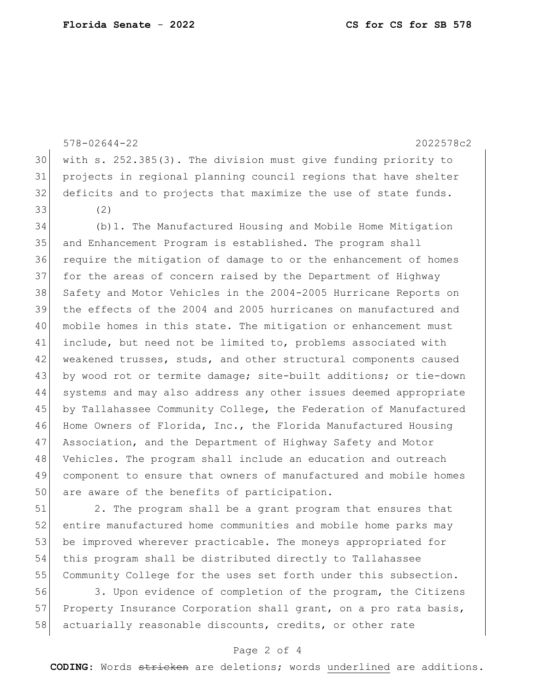578-02644-22 2022578c2 with s. 252.385(3). The division must give funding priority to projects in regional planning council regions that have shelter 32 deficits and to projects that maximize the use of state funds. 33 (2) (b)1. The Manufactured Housing and Mobile Home Mitigation and Enhancement Program is established. The program shall require the mitigation of damage to or the enhancement of homes for the areas of concern raised by the Department of Highway Safety and Motor Vehicles in the 2004-2005 Hurricane Reports on the effects of the 2004 and 2005 hurricanes on manufactured and mobile homes in this state. The mitigation or enhancement must include, but need not be limited to, problems associated with 42 weakened trusses, studs, and other structural components caused 43 by wood rot or termite damage; site-built additions; or tie-down systems and may also address any other issues deemed appropriate by Tallahassee Community College, the Federation of Manufactured 46 Home Owners of Florida, Inc., the Florida Manufactured Housing 47 Association, and the Department of Highway Safety and Motor Vehicles. The program shall include an education and outreach component to ensure that owners of manufactured and mobile homes 50 are aware of the benefits of participation.

51 2. The program shall be a grant program that ensures that 52 entire manufactured home communities and mobile home parks may 53 be improved wherever practicable. The moneys appropriated for 54 this program shall be distributed directly to Tallahassee 55 Community College for the uses set forth under this subsection.

56 3. Upon evidence of completion of the program, the Citizens 57 Property Insurance Corporation shall grant, on a pro rata basis, 58 actuarially reasonable discounts, credits, or other rate

## Page 2 of 4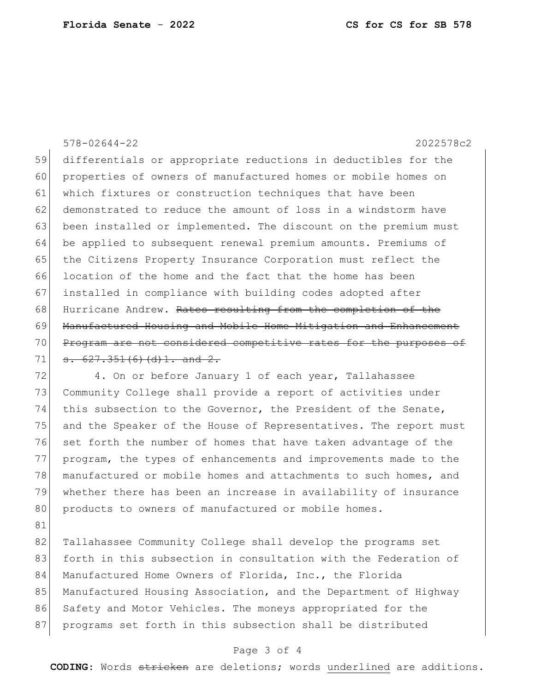81

578-02644-22 2022578c2 59 differentials or appropriate reductions in deductibles for the 60 properties of owners of manufactured homes or mobile homes on 61 which fixtures or construction techniques that have been 62 demonstrated to reduce the amount of loss in a windstorm have 63 been installed or implemented. The discount on the premium must 64 be applied to subsequent renewal premium amounts. Premiums of 65 the Citizens Property Insurance Corporation must reflect the 66 location of the home and the fact that the home has been 67 installed in compliance with building codes adopted after 68 Hurricane Andrew. Rates resulting from the completion of the 69 Manufactured Housing and Mobile Home Mitigation and Enhancement 70 Program are not considered competitive rates for the purposes  $71 \mid$  s. 627.351 (6) (d) 1. and 2.

72 4. On or before January 1 of each year, Tallahassee 73 Community College shall provide a report of activities under 74 this subsection to the Governor, the President of the Senate, 75 and the Speaker of the House of Representatives. The report must 76 set forth the number of homes that have taken advantage of the 77 program, the types of enhancements and improvements made to the 78 manufactured or mobile homes and attachments to such homes, and 79 whether there has been an increase in availability of insurance 80 products to owners of manufactured or mobile homes.

82 Tallahassee Community College shall develop the programs set 83 forth in this subsection in consultation with the Federation of 84 Manufactured Home Owners of Florida, Inc., the Florida 85 Manufactured Housing Association, and the Department of Highway 86 Safety and Motor Vehicles. The moneys appropriated for the 87 programs set forth in this subsection shall be distributed

## Page 3 of 4